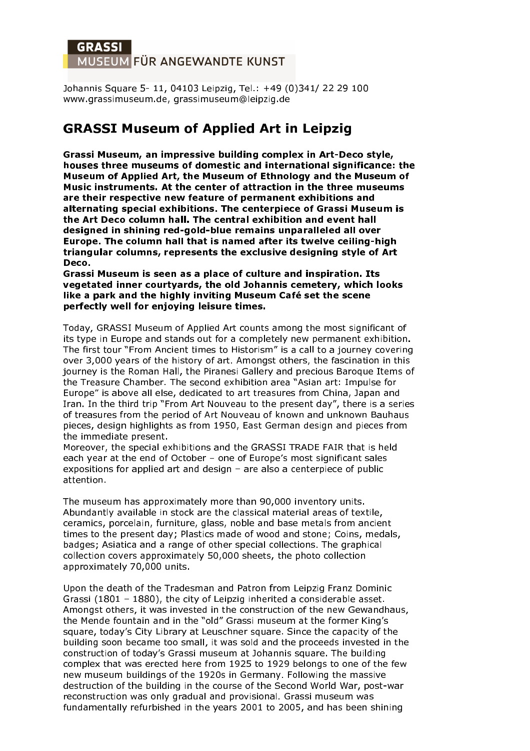## **GRASSI** MUSEUM FÜR ANGEWANDTE KUNST

Johannis Square 5-11, 04103 Leipzig, Tel.: +49 (0)341/ 22 29 100 www.grassimuseum.de, grassimuseum@leipzig.de

# **GRASSI Museum of Applied Art in Leipzig**

Grassi Museum, an impressive building complex in Art-Deco style, houses three museums of domestic and international significance: the Museum of Applied Art, the Museum of Ethnology and the Museum of Music instruments. At the center of attraction in the three museums are their respective new feature of permanent exhibitions and alternating special exhibitions. The centerpiece of Grassi Museum is the Art Deco column hall. The central exhibition and event hall designed in shining red-gold-blue remains unparalleled all over Europe. The column hall that is named after its twelve ceiling-high triangular columns, represents the exclusive designing style of Art Deco.

Grassi Museum is seen as a place of culture and inspiration. Its vegetated inner courtyards, the old Johannis cemetery, which looks like a park and the highly inviting Museum Café set the scene perfectly well for enjoying leisure times.

Today, GRASSI Museum of Applied Art counts among the most significant of its type in Europe and stands out for a completely new permanent exhibition. The first tour "From Ancient times to Historism" is a call to a journey covering over 3,000 years of the history of art. Amongst others, the fascination in this journey is the Roman Hall, the Piranesi Gallery and precious Baroque Items of the Treasure Chamber. The second exhibition area "Asian art: Impulse for Europe" is above all else, dedicated to art treasures from China, Japan and Iran. In the third trip "From Art Nouveau to the present day", there is a series of treasures from the period of Art Nouveau of known and unknown Bauhaus pieces, design highlights as from 1950, East German design and pieces from the immediate present.

Moreover, the special exhibitions and the GRASSI TRADE FAIR that is held each year at the end of October - one of Europe's most significant sales expositions for applied art and design - are also a centerpiece of public attention.

The museum has approximately more than 90,000 inventory units. Abundantly available in stock are the classical material areas of textile, ceramics, porcelain, furniture, glass, noble and base metals from ancient times to the present day; Plastics made of wood and stone; Coins, medals, badges; Asiatica and a range of other special collections. The graphical collection covers approximately 50,000 sheets, the photo collection approximately 70,000 units.

Upon the death of the Tradesman and Patron from Leipzig Franz Dominic Grassi (1801 - 1880), the city of Leipzig inherited a considerable asset. Amongst others, it was invested in the construction of the new Gewandhaus, the Mende fountain and in the "old" Grassi museum at the former King's square, today's City Library at Leuschner square. Since the capacity of the building soon became too small, it was sold and the proceeds invested in the construction of today's Grassi museum at Johannis square. The building complex that was erected here from 1925 to 1929 belongs to one of the few new museum buildings of the 1920s in Germany. Following the massive destruction of the building in the course of the Second World War, post-war reconstruction was only gradual and provisional. Grassi museum was fundamentally refurbished in the years 2001 to 2005, and has been shining